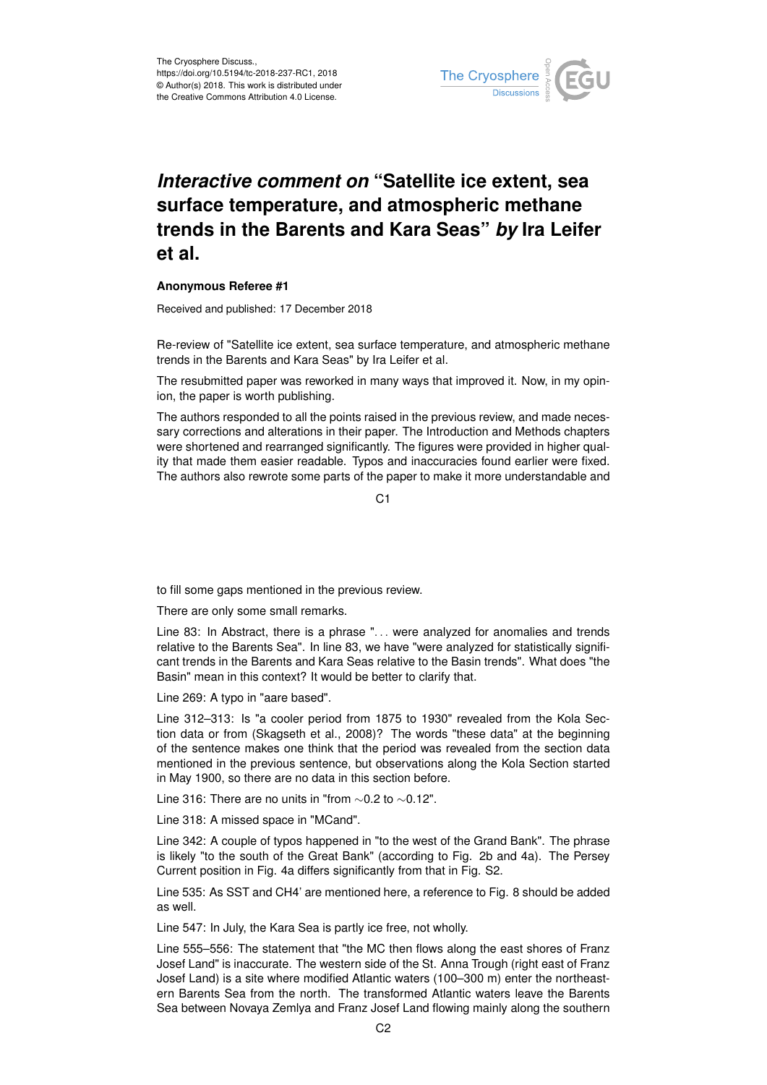

## *Interactive comment on* **"Satellite ice extent, sea surface temperature, and atmospheric methane trends in the Barents and Kara Seas"** *by* **Ira Leifer et al.**

## **Anonymous Referee #1**

Received and published: 17 December 2018

Re-review of "Satellite ice extent, sea surface temperature, and atmospheric methane trends in the Barents and Kara Seas" by Ira Leifer et al.

The resubmitted paper was reworked in many ways that improved it. Now, in my opinion, the paper is worth publishing.

The authors responded to all the points raised in the previous review, and made necessary corrections and alterations in their paper. The Introduction and Methods chapters were shortened and rearranged significantly. The figures were provided in higher quality that made them easier readable. Typos and inaccuracies found earlier were fixed. The authors also rewrote some parts of the paper to make it more understandable and

C<sub>1</sub>

to fill some gaps mentioned in the previous review.

There are only some small remarks.

Line 83: In Abstract, there is a phrase ". . . were analyzed for anomalies and trends relative to the Barents Sea". In line 83, we have "were analyzed for statistically significant trends in the Barents and Kara Seas relative to the Basin trends". What does "the Basin" mean in this context? It would be better to clarify that.

Line 269: A typo in "aare based".

Line 312–313: Is "a cooler period from 1875 to 1930" revealed from the Kola Section data or from (Skagseth et al., 2008)? The words "these data" at the beginning of the sentence makes one think that the period was revealed from the section data mentioned in the previous sentence, but observations along the Kola Section started in May 1900, so there are no data in this section before.

Line 316: There are no units in "from ∼0.2 to ∼0.12".

Line 318: A missed space in "MCand".

Line 342: A couple of typos happened in "to the west of the Grand Bank". The phrase is likely "to the south of the Great Bank" (according to Fig. 2b and 4a). The Persey Current position in Fig. 4a differs significantly from that in Fig. S2.

Line 535: As SST and CH4' are mentioned here, a reference to Fig. 8 should be added as well.

Line 547: In July, the Kara Sea is partly ice free, not wholly.

Line 555–556: The statement that "the MC then flows along the east shores of Franz Josef Land" is inaccurate. The western side of the St. Anna Trough (right east of Franz Josef Land) is a site where modified Atlantic waters (100–300 m) enter the northeastern Barents Sea from the north. The transformed Atlantic waters leave the Barents Sea between Novaya Zemlya and Franz Josef Land flowing mainly along the southern